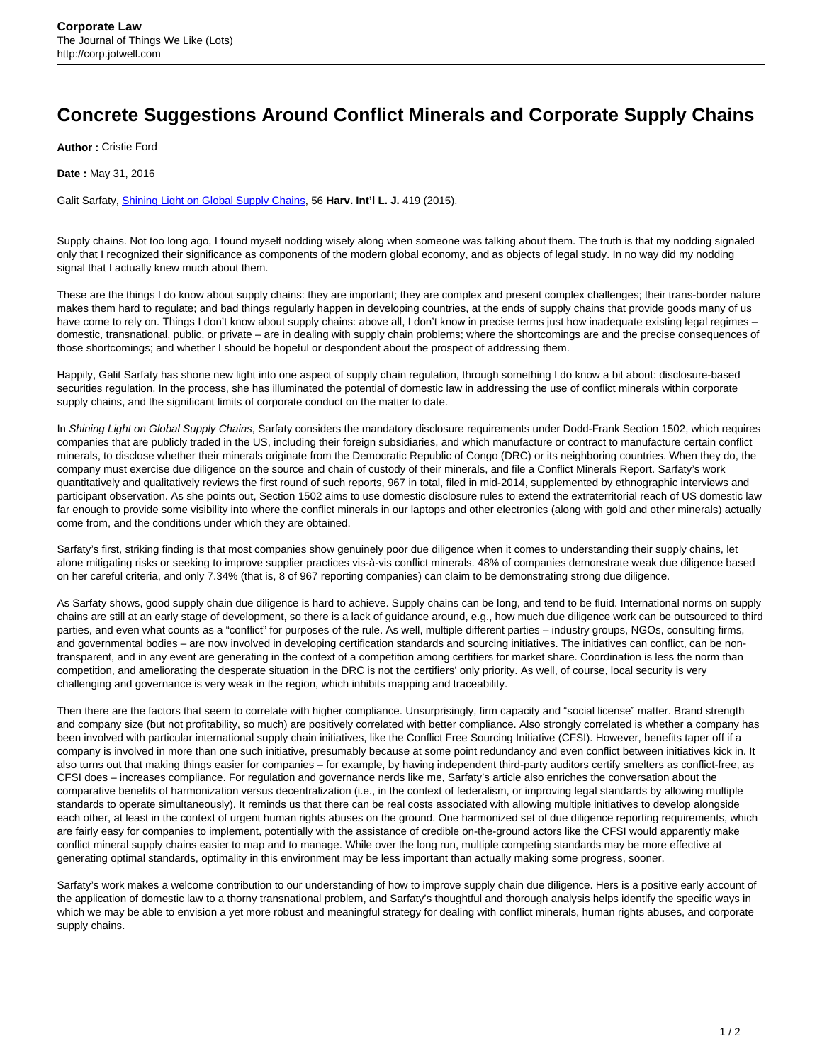## **Concrete Suggestions Around Conflict Minerals and Corporate Supply Chains**

**Author :** Cristie Ford

**Date :** May 31, 2016

Galit Sarfaty, [Shining Light on Global Supply Chains](http://www.harvardilj.org/wp-content/uploads/562Sarfaty.pdf), 56 **Harv. Int'l L. J.** 419 (2015).

Supply chains. Not too long ago, I found myself nodding wisely along when someone was talking about them. The truth is that my nodding signaled only that I recognized their significance as components of the modern global economy, and as objects of legal study. In no way did my nodding signal that I actually knew much about them.

These are the things I do know about supply chains: they are important; they are complex and present complex challenges; their trans-border nature makes them hard to regulate; and bad things regularly happen in developing countries, at the ends of supply chains that provide goods many of us have come to rely on. Things I don't know about supply chains: above all, I don't know in precise terms just how inadequate existing legal regimes domestic, transnational, public, or private – are in dealing with supply chain problems; where the shortcomings are and the precise consequences of those shortcomings; and whether I should be hopeful or despondent about the prospect of addressing them.

Happily, Galit Sarfaty has shone new light into one aspect of supply chain regulation, through something I do know a bit about: disclosure-based securities regulation. In the process, she has illuminated the potential of domestic law in addressing the use of conflict minerals within corporate supply chains, and the significant limits of corporate conduct on the matter to date.

In Shining Light on Global Supply Chains, Sarfaty considers the mandatory disclosure requirements under Dodd-Frank Section 1502, which requires companies that are publicly traded in the US, including their foreign subsidiaries, and which manufacture or contract to manufacture certain conflict minerals, to disclose whether their minerals originate from the Democratic Republic of Congo (DRC) or its neighboring countries. When they do, the company must exercise due diligence on the source and chain of custody of their minerals, and file a Conflict Minerals Report. Sarfaty's work quantitatively and qualitatively reviews the first round of such reports, 967 in total, filed in mid-2014, supplemented by ethnographic interviews and participant observation. As she points out, Section 1502 aims to use domestic disclosure rules to extend the extraterritorial reach of US domestic law far enough to provide some visibility into where the conflict minerals in our laptops and other electronics (along with gold and other minerals) actually come from, and the conditions under which they are obtained.

Sarfaty's first, striking finding is that most companies show genuinely poor due diligence when it comes to understanding their supply chains, let alone mitigating risks or seeking to improve supplier practices vis-à-vis conflict minerals. 48% of companies demonstrate weak due diligence based on her careful criteria, and only 7.34% (that is, 8 of 967 reporting companies) can claim to be demonstrating strong due diligence.

As Sarfaty shows, good supply chain due diligence is hard to achieve. Supply chains can be long, and tend to be fluid. International norms on supply chains are still at an early stage of development, so there is a lack of guidance around, e.g., how much due diligence work can be outsourced to third parties, and even what counts as a "conflict" for purposes of the rule. As well, multiple different parties – industry groups, NGOs, consulting firms, and governmental bodies – are now involved in developing certification standards and sourcing initiatives. The initiatives can conflict, can be nontransparent, and in any event are generating in the context of a competition among certifiers for market share. Coordination is less the norm than competition, and ameliorating the desperate situation in the DRC is not the certifiers' only priority. As well, of course, local security is very challenging and governance is very weak in the region, which inhibits mapping and traceability.

Then there are the factors that seem to correlate with higher compliance. Unsurprisingly, firm capacity and "social license" matter. Brand strength and company size (but not profitability, so much) are positively correlated with better compliance. Also strongly correlated is whether a company has been involved with particular international supply chain initiatives, like the Conflict Free Sourcing Initiative (CFSI). However, benefits taper off if a company is involved in more than one such initiative, presumably because at some point redundancy and even conflict between initiatives kick in. It also turns out that making things easier for companies – for example, by having independent third-party auditors certify smelters as conflict-free, as CFSI does – increases compliance. For regulation and governance nerds like me, Sarfaty's article also enriches the conversation about the comparative benefits of harmonization versus decentralization (i.e., in the context of federalism, or improving legal standards by allowing multiple standards to operate simultaneously). It reminds us that there can be real costs associated with allowing multiple initiatives to develop alongside each other, at least in the context of urgent human rights abuses on the ground. One harmonized set of due diligence reporting requirements, which are fairly easy for companies to implement, potentially with the assistance of credible on-the-ground actors like the CFSI would apparently make conflict mineral supply chains easier to map and to manage. While over the long run, multiple competing standards may be more effective at generating optimal standards, optimality in this environment may be less important than actually making some progress, sooner.

Sarfaty's work makes a welcome contribution to our understanding of how to improve supply chain due diligence. Hers is a positive early account of the application of domestic law to a thorny transnational problem, and Sarfaty's thoughtful and thorough analysis helps identify the specific ways in which we may be able to envision a yet more robust and meaningful strategy for dealing with conflict minerals, human rights abuses, and corporate supply chains.